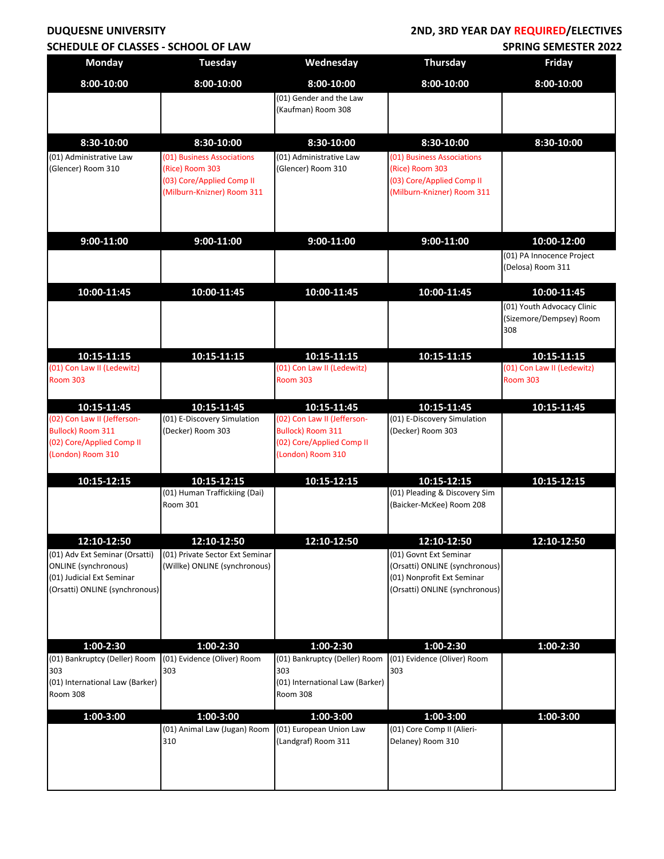## **DUQUESNE UNIVERSITY SCHEDULE OF CLASSES - SCHOOL OF LAW**

## **2ND, 3RD YEAR DAY REQUIRED/ELECTIVES SPRING SEMESTER 2022**

| <b>Monday</b>                                                                                                                | <b>Tuesday</b>                                                                                           | Wednesday                                                                                                 | <b>Thursday</b>                                                                                                          | Friday                                                                      |
|------------------------------------------------------------------------------------------------------------------------------|----------------------------------------------------------------------------------------------------------|-----------------------------------------------------------------------------------------------------------|--------------------------------------------------------------------------------------------------------------------------|-----------------------------------------------------------------------------|
| 8:00-10:00                                                                                                                   | 8:00-10:00                                                                                               | 8:00-10:00                                                                                                | 8:00-10:00                                                                                                               | 8:00-10:00                                                                  |
|                                                                                                                              |                                                                                                          | (01) Gender and the Law<br>(Kaufman) Room 308                                                             |                                                                                                                          |                                                                             |
| 8:30-10:00                                                                                                                   | 8:30-10:00                                                                                               | 8:30-10:00                                                                                                | 8:30-10:00                                                                                                               | 8:30-10:00                                                                  |
| (01) Administrative Law<br>(Glencer) Room 310                                                                                | (01) Business Associations<br>(Rice) Room 303<br>(03) Core/Applied Comp II<br>(Milburn-Knizner) Room 311 | (01) Administrative Law<br>(Glencer) Room 310                                                             | (01) Business Associations<br>(Rice) Room 303<br>(03) Core/Applied Comp II<br>(Milburn-Knizner) Room 311                 |                                                                             |
| 9:00-11:00                                                                                                                   | $9:00-11:00$                                                                                             | $9:00-11:00$                                                                                              | 9:00-11:00                                                                                                               | 10:00-12:00<br>(01) PA Innocence Project<br>(Delosa) Room 311               |
| 10:00-11:45                                                                                                                  | 10:00-11:45                                                                                              | 10:00-11:45                                                                                               | 10:00-11:45                                                                                                              | 10:00-11:45<br>(01) Youth Advocacy Clinic<br>(Sizemore/Dempsey) Room<br>308 |
| 10:15-11:15                                                                                                                  | 10:15-11:15                                                                                              | 10:15-11:15                                                                                               | 10:15-11:15                                                                                                              | 10:15-11:15                                                                 |
| (01) Con Law II (Ledewitz)<br><b>Room 303</b>                                                                                |                                                                                                          | (01) Con Law II (Ledewitz)<br><b>Room 303</b>                                                             |                                                                                                                          | (01) Con Law II (Ledewitz)<br><b>Room 303</b>                               |
| 10:15-11:45                                                                                                                  | 10:15-11:45                                                                                              | 10:15-11:45                                                                                               | 10:15-11:45                                                                                                              | 10:15-11:45                                                                 |
| (02) Con Law II (Jefferson-<br><b>Bullock) Room 311</b><br>(02) Core/Applied Comp II<br>(London) Room 310                    | (01) E-Discovery Simulation<br>(Decker) Room 303                                                         | (02) Con Law II (Jefferson-<br><b>Bullock) Room 311</b><br>(02) Core/Applied Comp II<br>(London) Room 310 | (01) E-Discovery Simulation<br>(Decker) Room 303                                                                         |                                                                             |
| 10:15-12:15                                                                                                                  | 10:15-12:15                                                                                              | 10:15-12:15                                                                                               | 10:15-12:15                                                                                                              | 10:15-12:15                                                                 |
|                                                                                                                              | (01) Human Traffickiing (Dai)<br>Room 301                                                                |                                                                                                           | (01) Pleading & Discovery Sim<br>(Baicker-McKee) Room 208                                                                |                                                                             |
| 12:10-12:50                                                                                                                  | 12:10-12:50                                                                                              | 12:10-12:50                                                                                               | 12:10-12:50                                                                                                              | 12:10-12:50                                                                 |
| (01) Adv Ext Seminar (Orsatti)<br><b>ONLINE</b> (synchronous)<br>(01) Judicial Ext Seminar<br>(Orsatti) ONLINE (synchronous) | (01) Private Sector Ext Seminar<br>(Willke) ONLINE (synchronous)                                         |                                                                                                           | (01) Govnt Ext Seminar<br>(Orsatti) ONLINE (synchronous)<br>(01) Nonprofit Ext Seminar<br>(Orsatti) ONLINE (synchronous) |                                                                             |
| 1:00-2:30                                                                                                                    | 1:00-2:30                                                                                                | 1:00-2:30                                                                                                 | 1:00-2:30                                                                                                                | $1:00-2:30$                                                                 |
| (01) Bankruptcy (Deller) Room<br>303<br>(01) International Law (Barker)<br>Room 308                                          | (01) Evidence (Oliver) Room<br>303                                                                       | (01) Bankruptcy (Deller) Room<br>303<br>(01) International Law (Barker)<br><b>Room 308</b>                | (01) Evidence (Oliver) Room<br>303                                                                                       |                                                                             |
| $1:00 - 3:00$                                                                                                                | 1:00-3:00                                                                                                | 1:00-3:00                                                                                                 | 1:00-3:00                                                                                                                | $1:00 - 3:00$                                                               |
|                                                                                                                              | (01) Animal Law (Jugan) Room<br>310                                                                      | (01) European Union Law<br>(Landgraf) Room 311                                                            | (01) Core Comp II (Alieri-<br>Delaney) Room 310                                                                          |                                                                             |